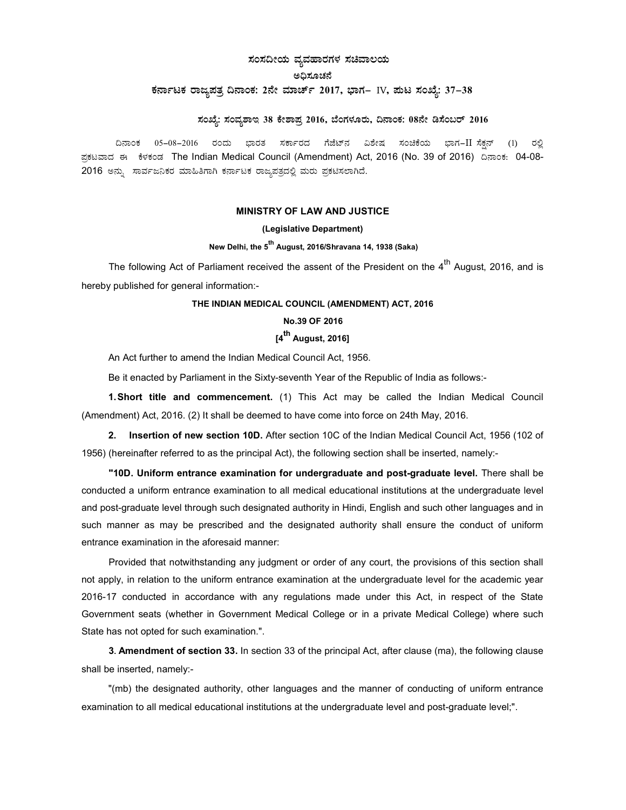# ಸಂಸದೀಯ ವ್ಯವಹಾರಗಳ ಸಚಿವಾಲಯ

### ಅದಿಸೂಚನೆ

## ಕರ್ನಾಟಕ ರಾಜ್ಞಪತ್ರ ದಿನಾಂಕ: 2ನೇ ಮಾರ್ಚ್ 2017, ಭಾಗ– IV, ಮಟ ಸಂಖ್ಯೆ: 37–38

## $x$ ನಂಖ್ಯೆ: ಸಂವ್ಯಶಾಇ 38 ಕೇಶಾಪ್ರ 2016, ಬೆಂಗಳೂರು, ದಿನಾಂಕ: 08ನೇ ಡಿಸೆಂಬರ್ 2016

ದಿನಾಂಕ 05–08–2016 ರಂದು ಭಾರತ ಸರ್ಕಾರದ ಗೆಜೆಟ್ನ ವಿಶೇಷ ಸಂಚಿಕೆಯ ಭಾಗ−IIರಸೆಕನ್ (1) ರಲ್ಲಿ ಪ್ರಕಟವಾದ ಈ ಕೆಳಕಂಡ The Indian Medical Council (Amendment) Act, 2016 (No. 39 of 2016) ದಿನಾಂಕ: 04-08-2016 ಅನ್ನು ಸಾರ್ವಜನಿಕರ ಮಾಹಿತಿಗಾಗಿ ಕರ್ನಾಟಕ ರಾಜ್ಯಪತ್ರದಲ್ಲಿ ಮರು ಪ್ರಕಟಿಸಲಾಗಿದೆ.

#### MINISTRY OF LAW AND JUSTICE

#### (Legislative Department)

### New Delhi, the 5<sup>th</sup> August, 2016/Shravana 14, 1938 (Saka)

The following Act of Parliament received the assent of the President on the  $4^{th}$  August, 2016, and is hereby published for general information:-

### THE INDIAN MEDICAL COUNCIL (AMENDMENT) ACT, 2016

#### No.39 OF 2016

# [4<sup>th</sup> August, 2016]

An Act further to amend the Indian Medical Council Act, 1956.

Be it enacted by Parliament in the Sixty-seventh Year of the Republic of India as follows:-

1. Short title and commencement. (1) This Act may be called the Indian Medical Council (Amendment) Act, 2016. (2) It shall be deemed to have come into force on 24th May, 2016.

2. Insertion of new section 10D. After section 10C of the Indian Medical Council Act, 1956 (102 of 1956) (hereinafter referred to as the principal Act), the following section shall be inserted, namely:-

"10D. Uniform entrance examination for undergraduate and post-graduate level. There shall be conducted a uniform entrance examination to all medical educational institutions at the undergraduate level and post-graduate level through such designated authority in Hindi, English and such other languages and in such manner as may be prescribed and the designated authority shall ensure the conduct of uniform entrance examination in the aforesaid manner:

Provided that notwithstanding any judgment or order of any court, the provisions of this section shall not apply, in relation to the uniform entrance examination at the undergraduate level for the academic year 2016-17 conducted in accordance with any regulations made under this Act, in respect of the State Government seats (whether in Government Medical College or in a private Medical College) where such State has not opted for such examination.".

3. Amendment of section 33. In section 33 of the principal Act, after clause (ma), the following clause shall be inserted, namely:-

"(mb) the designated authority, other languages and the manner of conducting of uniform entrance examination to all medical educational institutions at the undergraduate level and post-graduate level;".